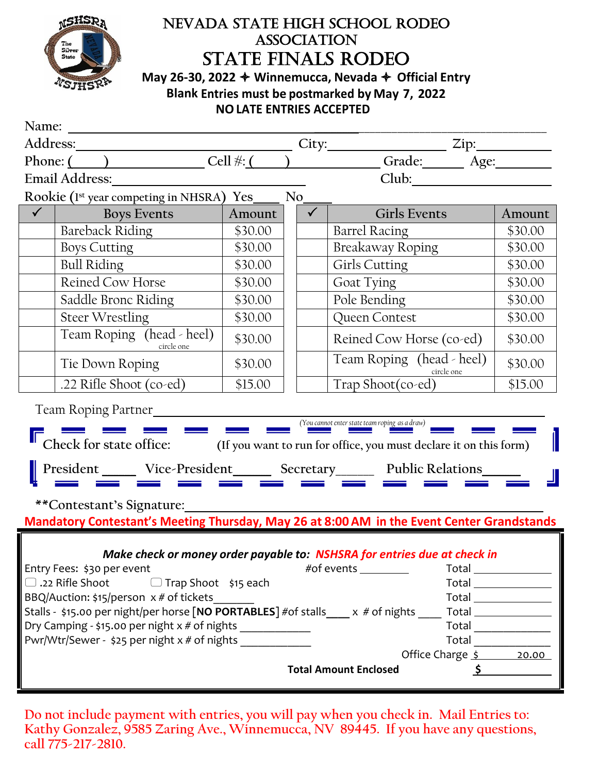

## NEVADA STATE HIGH SCHOOL RODEO **ASSOCIATION** STATE FINALS RODEO

**May 26-30, 2022 Winnemucca, Nevada Official Entry Blank Entries must be postmarked by May 7, 2022 NOLATE ENTRIES ACCEPTED**

| Name:                                                                                                                                                                                                                                                                                                                                                                                                                                     |                                                                                            |         |              |                                                                          |  |                                   |  |  |  |  |
|-------------------------------------------------------------------------------------------------------------------------------------------------------------------------------------------------------------------------------------------------------------------------------------------------------------------------------------------------------------------------------------------------------------------------------------------|--------------------------------------------------------------------------------------------|---------|--------------|--------------------------------------------------------------------------|--|-----------------------------------|--|--|--|--|
|                                                                                                                                                                                                                                                                                                                                                                                                                                           |                                                                                            |         |              |                                                                          |  |                                   |  |  |  |  |
|                                                                                                                                                                                                                                                                                                                                                                                                                                           |                                                                                            |         |              |                                                                          |  |                                   |  |  |  |  |
| Club: 2000<br>Email Address: 2008                                                                                                                                                                                                                                                                                                                                                                                                         |                                                                                            |         |              |                                                                          |  |                                   |  |  |  |  |
| Rookie (1st year competing in NHSRA) Yes<br>No.                                                                                                                                                                                                                                                                                                                                                                                           |                                                                                            |         |              |                                                                          |  |                                   |  |  |  |  |
| $\checkmark$                                                                                                                                                                                                                                                                                                                                                                                                                              | <b>Boys Events</b>                                                                         | Amount  | $\checkmark$ | <b>Girls Events</b>                                                      |  | Amount                            |  |  |  |  |
|                                                                                                                                                                                                                                                                                                                                                                                                                                           | <b>Bareback Riding</b>                                                                     | \$30.00 |              | <b>Barrel Racing</b>                                                     |  | \$30.00                           |  |  |  |  |
|                                                                                                                                                                                                                                                                                                                                                                                                                                           | <b>Boys Cutting</b>                                                                        | \$30.00 |              | <b>Breakaway Roping</b>                                                  |  | \$30.00                           |  |  |  |  |
|                                                                                                                                                                                                                                                                                                                                                                                                                                           | <b>Bull Riding</b>                                                                         | \$30.00 |              | Girls Cutting                                                            |  | \$30.00                           |  |  |  |  |
|                                                                                                                                                                                                                                                                                                                                                                                                                                           | Reined Cow Horse                                                                           | \$30.00 |              | Goat Tying                                                               |  | \$30.00                           |  |  |  |  |
|                                                                                                                                                                                                                                                                                                                                                                                                                                           | Saddle Bronc Riding                                                                        | \$30.00 |              | Pole Bending                                                             |  | \$30.00                           |  |  |  |  |
|                                                                                                                                                                                                                                                                                                                                                                                                                                           | <b>Steer Wrestling</b>                                                                     | \$30.00 |              | Queen Contest                                                            |  | \$30.00                           |  |  |  |  |
|                                                                                                                                                                                                                                                                                                                                                                                                                                           | Team Roping (head - heel)<br>circle one                                                    | \$30.00 |              | Reined Cow Horse (co-ed)                                                 |  | \$30.00                           |  |  |  |  |
|                                                                                                                                                                                                                                                                                                                                                                                                                                           | Tie Down Roping                                                                            | \$30.00 |              | Team Roping (head - heel)<br>circle one                                  |  | \$30.00                           |  |  |  |  |
|                                                                                                                                                                                                                                                                                                                                                                                                                                           | .22 Rifle Shoot (co-ed)                                                                    | \$15.00 |              | Trap Shoot(co-ed)                                                        |  | \$15.00                           |  |  |  |  |
|                                                                                                                                                                                                                                                                                                                                                                                                                                           |                                                                                            |         |              |                                                                          |  |                                   |  |  |  |  |
| Team Roping Partner<br>(You cannot enter state team roping as a draw)                                                                                                                                                                                                                                                                                                                                                                     |                                                                                            |         |              |                                                                          |  |                                   |  |  |  |  |
| Check for state office: (If you want to run for office, you must declare it on this form)                                                                                                                                                                                                                                                                                                                                                 |                                                                                            |         |              |                                                                          |  |                                   |  |  |  |  |
| President ______ Vice-President _______ Secretary _______ Public Relations                                                                                                                                                                                                                                                                                                                                                                |                                                                                            |         |              |                                                                          |  |                                   |  |  |  |  |
| **Contestant's Signature:                                                                                                                                                                                                                                                                                                                                                                                                                 |                                                                                            |         |              |                                                                          |  |                                   |  |  |  |  |
|                                                                                                                                                                                                                                                                                                                                                                                                                                           | Mandatory Contestant's Meeting Thursday, May 26 at 8:00 AM in the Event Center Grandstands |         |              |                                                                          |  |                                   |  |  |  |  |
|                                                                                                                                                                                                                                                                                                                                                                                                                                           |                                                                                            |         |              |                                                                          |  |                                   |  |  |  |  |
|                                                                                                                                                                                                                                                                                                                                                                                                                                           |                                                                                            |         |              | Make check or money order payable to: NSHSRA for entries due at check in |  |                                   |  |  |  |  |
|                                                                                                                                                                                                                                                                                                                                                                                                                                           | Entry Fees: \$30 per event                                                                 |         |              | #of events _________                                                     |  |                                   |  |  |  |  |
| $\Box$ .22 Rifle Shoot<br>$\Box$ Trap Shoot \$15 each<br>$\boxed{\mathsf{Total}} \begin{picture}(150,10) \put(0,0){\dashbox{0.5}(10,0){ }} \put(15,0){\dashbox{0.5}(10,0){ }} \put(15,0){\dashbox{0.5}(10,0){ }} \put(15,0){\dashbox{0.5}(10,0){ }} \put(15,0){\dashbox{0.5}(10,0){ }} \put(15,0){\dashbox{0.5}(10,0){ }} \put(15,0){\dashbox{0.5}(10,0){ }} \put(15,0){\dashbox{0.5}(10,0){ }} \put(15,0){\dashbox{0.5}(10,0){ }} \put($ |                                                                                            |         |              |                                                                          |  |                                   |  |  |  |  |
| BBQ/Auction: \$15/person x # of tickets                                                                                                                                                                                                                                                                                                                                                                                                   |                                                                                            |         |              |                                                                          |  |                                   |  |  |  |  |
| Stalls - \$15.00 per night/per horse [NO PORTABLES] #of stalls ____ x # of nights<br>$Total \_\_\_\_\_\_\_\_\_\_\_\_\_\_\_\_\_\_\_\_$                                                                                                                                                                                                                                                                                                     |                                                                                            |         |              |                                                                          |  |                                   |  |  |  |  |
| Dry Camping - \$15.00 per night x # of nights ____________<br>$\begin{tabular}{ c c } \hline \texttt{Total} & \texttt{\_} \\\hline \end{tabular}$<br>Pwr/Wtr/Sewer - \$25 per night x # of nights                                                                                                                                                                                                                                         |                                                                                            |         |              |                                                                          |  |                                   |  |  |  |  |
|                                                                                                                                                                                                                                                                                                                                                                                                                                           |                                                                                            |         |              |                                                                          |  | Office Charge $\frac{s}{2}$ 20.00 |  |  |  |  |
|                                                                                                                                                                                                                                                                                                                                                                                                                                           |                                                                                            |         |              | <b>Total Amount Enclosed</b>                                             |  | $\frac{1}{2}$                     |  |  |  |  |
|                                                                                                                                                                                                                                                                                                                                                                                                                                           |                                                                                            |         |              |                                                                          |  |                                   |  |  |  |  |

**Do not include payment with entries, you will pay when you check in. Mail Entries to: Kathy Gonzalez, 9585 Zaring Ave., Winnemucca, NV 89445. If you have any questions, call 775-217-2810.**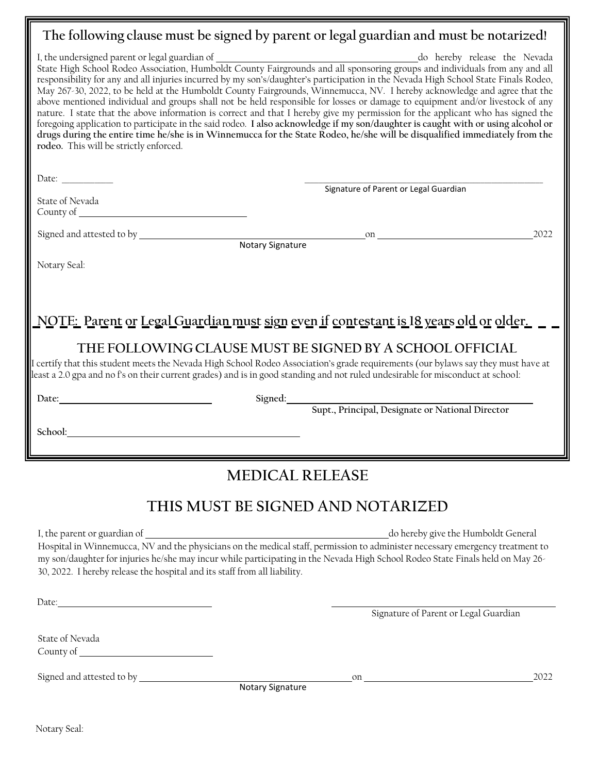## **The following clause must be signed by parent or legal guardian and must be notarized!**

| I, the undersigned parent or legal guardian of <u>County Fairgrounds and all sponsoring groups</u> and individuals from any and all State High School Rodeo Association, Humboldt County Fairgrounds and all sponsoring groups and<br>responsibility for any and all injuries incurred by my son's/daughter's participation in the Nevada High School State Finals Rodeo,<br>May 267-30, 2022, to be held at the Humboldt County Fairgrounds, Winnemucca, NV. I hereby acknowledge and agree that the<br>above mentioned individual and groups shall not be held responsible for losses or damage to equipment and/or livestock of any<br>nature. I state that the above information is correct and that I hereby give my permission for the applicant who has signed the<br>foregoing application to participate in the said rodeo. I also acknowledge if my son/daughter is caught with or using alcohol or<br>drugs during the entire time he/she is in Winnemucca for the State Rodeo, he/she will be disqualified immediately from the<br>rodeo. This will be strictly enforced. |                                                          |      |  |  |  |  |
|---------------------------------------------------------------------------------------------------------------------------------------------------------------------------------------------------------------------------------------------------------------------------------------------------------------------------------------------------------------------------------------------------------------------------------------------------------------------------------------------------------------------------------------------------------------------------------------------------------------------------------------------------------------------------------------------------------------------------------------------------------------------------------------------------------------------------------------------------------------------------------------------------------------------------------------------------------------------------------------------------------------------------------------------------------------------------------------|----------------------------------------------------------|------|--|--|--|--|
| Date:                                                                                                                                                                                                                                                                                                                                                                                                                                                                                                                                                                                                                                                                                                                                                                                                                                                                                                                                                                                                                                                                                 | Signature of Parent or Legal Guardian                    |      |  |  |  |  |
| State of Nevada                                                                                                                                                                                                                                                                                                                                                                                                                                                                                                                                                                                                                                                                                                                                                                                                                                                                                                                                                                                                                                                                       |                                                          |      |  |  |  |  |
|                                                                                                                                                                                                                                                                                                                                                                                                                                                                                                                                                                                                                                                                                                                                                                                                                                                                                                                                                                                                                                                                                       |                                                          | 2022 |  |  |  |  |
| Notary Seal:<br><u> NOTE: Parent or Legal Guardian must sign even if contestant is 18 years old or older. <math>\,</math></u>                                                                                                                                                                                                                                                                                                                                                                                                                                                                                                                                                                                                                                                                                                                                                                                                                                                                                                                                                         |                                                          |      |  |  |  |  |
| I certify that this student meets the Nevada High School Rodeo Association's grade requirements (our bylaws say they must have at<br>least a 2.0 gpa and no f's on their current grades) and is in good standing and not ruled undesirable for misconduct at school:                                                                                                                                                                                                                                                                                                                                                                                                                                                                                                                                                                                                                                                                                                                                                                                                                  | THE FOLLOWING CLAUSE MUST BE SIGNED BY A SCHOOL OFFICIAL |      |  |  |  |  |
|                                                                                                                                                                                                                                                                                                                                                                                                                                                                                                                                                                                                                                                                                                                                                                                                                                                                                                                                                                                                                                                                                       | Signed: Supt., Principal, Designate or National Director |      |  |  |  |  |
|                                                                                                                                                                                                                                                                                                                                                                                                                                                                                                                                                                                                                                                                                                                                                                                                                                                                                                                                                                                                                                                                                       |                                                          |      |  |  |  |  |
|                                                                                                                                                                                                                                                                                                                                                                                                                                                                                                                                                                                                                                                                                                                                                                                                                                                                                                                                                                                                                                                                                       | <b>MEDICAL RELEASE</b>                                   |      |  |  |  |  |
| THIS MUST BE SIGNED AND NOTARIZED                                                                                                                                                                                                                                                                                                                                                                                                                                                                                                                                                                                                                                                                                                                                                                                                                                                                                                                                                                                                                                                     |                                                          |      |  |  |  |  |

I, the parent or guardian of do hereby give the Humboldt General

Signature of Parent or Legal Guardian

Hospital in Winnemucca, NV and the physicians on the medical staff, permission to administer necessary emergency treatment to my son/daughter for injuries he/she may incur while participating in the Nevada High School Rodeo State Finals held on May 26- 30, 2022. I hereby release the hospital and its staff from all liability.

State of Nevada County of

Date:

Signed and attested to by on 2022

Notary Signature